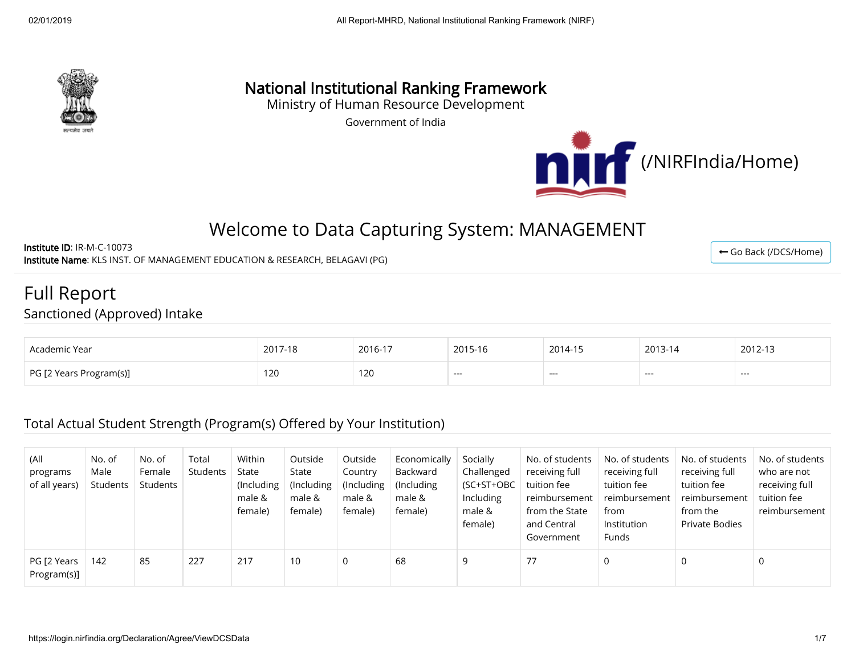

# National Institutional Ranking Framework

Ministry of Human Resource Development

Government of India



← [Go Back \(/DCS/Home\)](https://login.nirfindia.org/DCS/Home)

# Welcome to Data Capturing System: MANAGEMENT

Institute ID: IR-M-C-10073 Institute Name: KLS INST. OF MANAGEMENT EDUCATION & RESEARCH, BELAGAVI (PG)

Full Report Sanctioned (Approved) Intake

| Academic Year           | 2017-18 | 2016-17      | 2015-16 | 2014-15 | 2013-14 | 2012-13 |
|-------------------------|---------|--------------|---------|---------|---------|---------|
| PG [2 Years Program(s)] | 120     | 120<br>1 Z U | $--$    | ----    | ----    | ----    |

## Total Actual Student Strength (Program(s) Offered by Your Institution)

| (All<br>programs<br>of all years) | No. of<br>Male<br>Students | No. of<br>Female<br>Students | Total<br>Students | Within<br>State<br>(Including)<br>male &<br>female) | Outside<br>State<br>(Including)<br>male &<br>female) | Outside<br>Country<br>(Including<br>male &<br>female) | Economically<br>Backward<br>(Including)<br>male &<br>female) | Socially<br>Challenged<br>(SC+ST+OBC<br>Including<br>male &<br>female) | No. of students<br>receiving full<br>tuition fee<br>reimbursement<br>from the State<br>and Central<br>Government | No. of students<br>receiving full<br>tuition fee<br>reimbursement<br>from<br>Institution<br><b>Funds</b> | No. of students<br>receiving full<br>tuition fee<br>reimbursement<br>from the<br>Private Bodies | No. of students<br>who are not<br>receiving full<br>tuition fee<br>reimbursement |
|-----------------------------------|----------------------------|------------------------------|-------------------|-----------------------------------------------------|------------------------------------------------------|-------------------------------------------------------|--------------------------------------------------------------|------------------------------------------------------------------------|------------------------------------------------------------------------------------------------------------------|----------------------------------------------------------------------------------------------------------|-------------------------------------------------------------------------------------------------|----------------------------------------------------------------------------------|
| PG [2 Years<br>Program(s)]        | 142                        | 85                           | 227               | 217                                                 | 10                                                   | $\mathbf{0}$                                          | 68                                                           | -9                                                                     | 77                                                                                                               |                                                                                                          | 0                                                                                               |                                                                                  |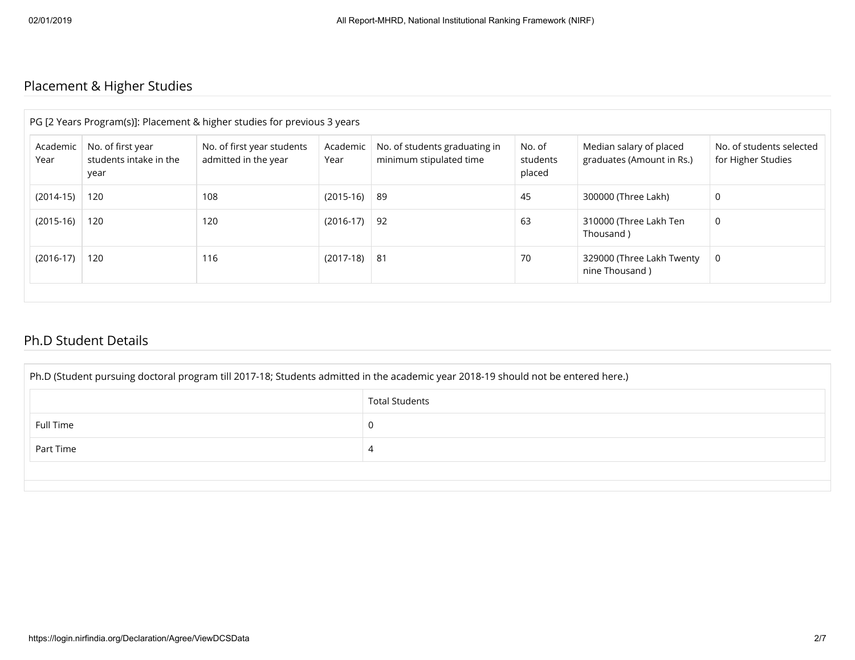# Placement & Higher Studies

|                  |                                                     | PG [2 Years Program(s)]: Placement & higher studies for previous 3 years |                  |                                                          |                              |                                                      |                                                |
|------------------|-----------------------------------------------------|--------------------------------------------------------------------------|------------------|----------------------------------------------------------|------------------------------|------------------------------------------------------|------------------------------------------------|
| Academic<br>Year | No. of first year<br>students intake in the<br>year | No. of first year students<br>admitted in the year                       | Academic<br>Year | No. of students graduating in<br>minimum stipulated time | No. of<br>students<br>placed | Median salary of placed<br>graduates (Amount in Rs.) | No. of students selected<br>for Higher Studies |
| $(2014-15)$      | 120                                                 | 108                                                                      | (2015-16)        | 89                                                       | 45                           | 300000 (Three Lakh)                                  | 0                                              |
| $(2015-16)$      | 120                                                 | 120                                                                      | $(2016-17)$      | 92                                                       | 63                           | 310000 (Three Lakh Ten<br>Thousand)                  | 0                                              |
| $(2016-17)$      | 120                                                 | 116                                                                      | $(2017-18)$      | -81                                                      | 70                           | 329000 (Three Lakh Twenty<br>nine Thousand)          | 0                                              |

## Ph.D Student Details

| Ph.D (Student pursuing doctoral program till 2017-18; Students admitted in the academic year 2018-19 should not be entered here.) |   |  |  |  |  |  |  |
|-----------------------------------------------------------------------------------------------------------------------------------|---|--|--|--|--|--|--|
| <b>Total Students</b>                                                                                                             |   |  |  |  |  |  |  |
| Full Time                                                                                                                         | 0 |  |  |  |  |  |  |
| Part Time                                                                                                                         | 4 |  |  |  |  |  |  |
|                                                                                                                                   |   |  |  |  |  |  |  |
|                                                                                                                                   |   |  |  |  |  |  |  |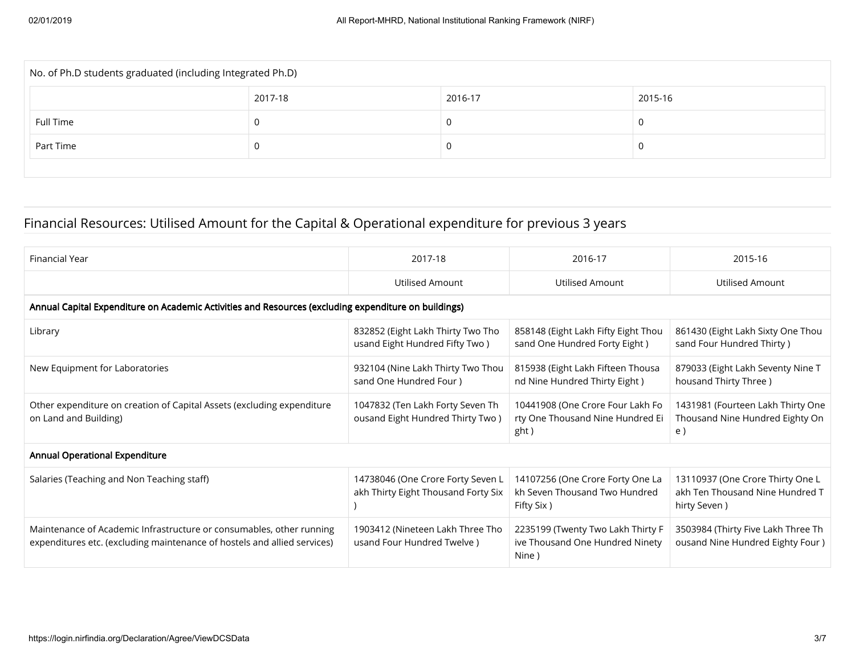| No. of Ph.D students graduated (including Integrated Ph.D) |         |         |         |  |  |  |  |  |
|------------------------------------------------------------|---------|---------|---------|--|--|--|--|--|
|                                                            | 2017-18 | 2016-17 | 2015-16 |  |  |  |  |  |
| Full Time                                                  |         |         |         |  |  |  |  |  |
| Part Time                                                  |         |         |         |  |  |  |  |  |
|                                                            |         |         |         |  |  |  |  |  |

# Financial Resources: Utilised Amount for the Capital & Operational expenditure for previous 3 years

| <b>Financial Year</b>                                                                                                                            | 2017-18                                                                  | 2016-17                                                                          | 2015-16                                                                             |  |  |  |  |  |  |
|--------------------------------------------------------------------------------------------------------------------------------------------------|--------------------------------------------------------------------------|----------------------------------------------------------------------------------|-------------------------------------------------------------------------------------|--|--|--|--|--|--|
|                                                                                                                                                  | Utilised Amount                                                          | Utilised Amount                                                                  | <b>Utilised Amount</b>                                                              |  |  |  |  |  |  |
| Annual Capital Expenditure on Academic Activities and Resources (excluding expenditure on buildings)                                             |                                                                          |                                                                                  |                                                                                     |  |  |  |  |  |  |
| Library                                                                                                                                          | 832852 (Eight Lakh Thirty Two Tho<br>usand Eight Hundred Fifty Two)      | 858148 (Eight Lakh Fifty Eight Thou<br>sand One Hundred Forty Eight)             | 861430 (Eight Lakh Sixty One Thou<br>sand Four Hundred Thirty)                      |  |  |  |  |  |  |
| New Equipment for Laboratories                                                                                                                   | 932104 (Nine Lakh Thirty Two Thou<br>sand One Hundred Four)              | 815938 (Eight Lakh Fifteen Thousa<br>nd Nine Hundred Thirty Eight)               | 879033 (Eight Lakh Seventy Nine T<br>housand Thirty Three)                          |  |  |  |  |  |  |
| Other expenditure on creation of Capital Assets (excluding expenditure<br>on Land and Building)                                                  | 1047832 (Ten Lakh Forty Seven Th<br>ousand Eight Hundred Thirty Two)     | 10441908 (One Crore Four Lakh Fo<br>rty One Thousand Nine Hundred Ei<br>ght)     | 1431981 (Fourteen Lakh Thirty One<br>Thousand Nine Hundred Eighty On<br>e)          |  |  |  |  |  |  |
| <b>Annual Operational Expenditure</b>                                                                                                            |                                                                          |                                                                                  |                                                                                     |  |  |  |  |  |  |
| Salaries (Teaching and Non Teaching staff)                                                                                                       | 14738046 (One Crore Forty Seven L<br>akh Thirty Eight Thousand Forty Six | 14107256 (One Crore Forty One La<br>kh Seven Thousand Two Hundred<br>Fifty Six ) | 13110937 (One Crore Thirty One L<br>akh Ten Thousand Nine Hundred T<br>hirty Seven) |  |  |  |  |  |  |
| Maintenance of Academic Infrastructure or consumables, other running<br>expenditures etc. (excluding maintenance of hostels and allied services) | 1903412 (Nineteen Lakh Three Tho<br>usand Four Hundred Twelve)           | 2235199 (Twenty Two Lakh Thirty F<br>ive Thousand One Hundred Ninety<br>Nine )   | 3503984 (Thirty Five Lakh Three Th<br>ousand Nine Hundred Eighty Four)              |  |  |  |  |  |  |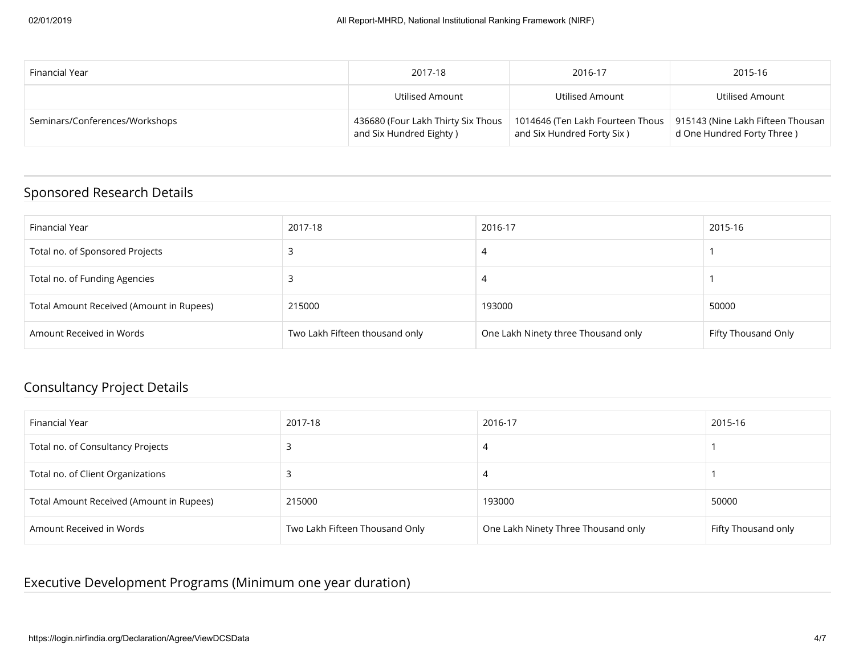| Financial Year                 | 2017-18                                                       | 2016-17                                                                                             | 2015-16                    |
|--------------------------------|---------------------------------------------------------------|-----------------------------------------------------------------------------------------------------|----------------------------|
|                                | Utilised Amount                                               | Utilised Amount                                                                                     | Utilised Amount            |
| Seminars/Conferences/Workshops | 436680 (Four Lakh Thirty Six Thous<br>and Six Hundred Eighty) | 1014646 (Ten Lakh Fourteen Thous   915143 (Nine Lakh Fifteen Thousan<br>and Six Hundred Forty Six ) | d One Hundred Forty Three) |

## Sponsored Research Details

| Financial Year                           | 2017-18                        | 2016-17                             | 2015-16             |
|------------------------------------------|--------------------------------|-------------------------------------|---------------------|
| Total no. of Sponsored Projects          |                                | $\overline{a}$                      |                     |
| Total no. of Funding Agencies            |                                |                                     |                     |
| Total Amount Received (Amount in Rupees) | 215000                         | 193000                              | 50000               |
| Amount Received in Words                 | Two Lakh Fifteen thousand only | One Lakh Ninety three Thousand only | Fifty Thousand Only |

## Consultancy Project Details

| Financial Year                           | 2017-18                        | 2016-17                             | 2015-16             |
|------------------------------------------|--------------------------------|-------------------------------------|---------------------|
| Total no. of Consultancy Projects        |                                | 4                                   |                     |
| Total no. of Client Organizations        |                                | 4                                   |                     |
| Total Amount Received (Amount in Rupees) | 215000                         | 193000                              | 50000               |
| Amount Received in Words                 | Two Lakh Fifteen Thousand Only | One Lakh Ninety Three Thousand only | Fifty Thousand only |

# Executive Development Programs (Minimum one year duration)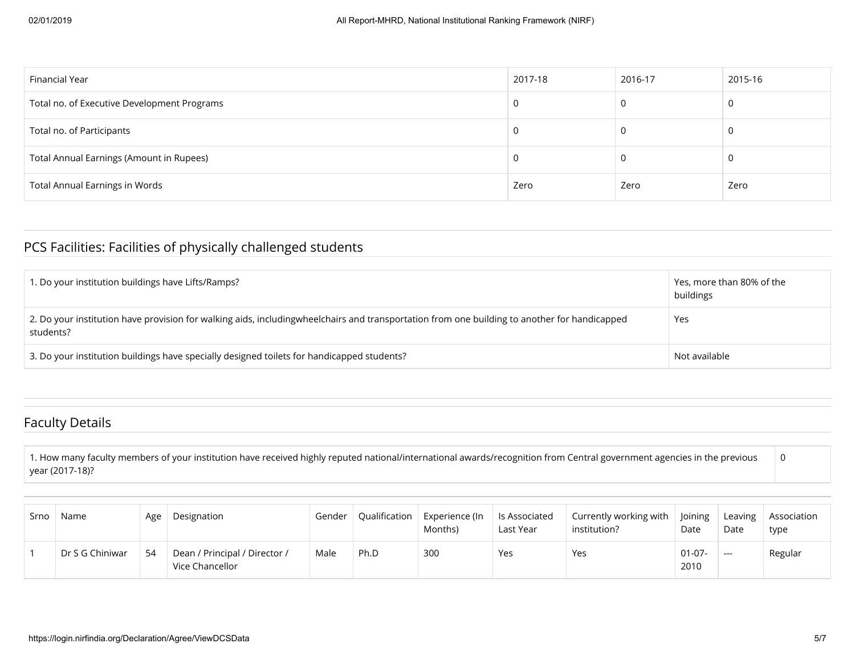| Financial Year                              | 2017-18 | 2016-17 | 2015-16 |
|---------------------------------------------|---------|---------|---------|
| Total no. of Executive Development Programs | 0       | 0       |         |
| Total no. of Participants                   | J       | 0       |         |
| Total Annual Earnings (Amount in Rupees)    |         | O       |         |
| <b>Total Annual Earnings in Words</b>       | Zero    | Zero    | Zero    |

## PCS Facilities: Facilities of physically challenged students

| 1. Do your institution buildings have Lifts/Ramps?                                                                                                        | Yes, more than 80% of the<br>buildings |
|-----------------------------------------------------------------------------------------------------------------------------------------------------------|----------------------------------------|
| 2. Do your institution have provision for walking aids, includingwheelchairs and transportation from one building to another for handicapped<br>students? | Yes                                    |
| 3. Do your institution buildings have specially designed toilets for handicapped students?                                                                | Not available                          |

#### Faculty Details

1. How many faculty members of your institution have received highly reputed national/international awards/recognition from Central government agencies in the previous year (2017-18)? 0

| Srno | Name            | Age | Designation                                      | Gender | Qualification | Experience (In<br>Months) | Is Associated<br>Last Year | Currently working with<br>institution? | <b>loining</b><br>Date | Leaving<br>Date | Association<br>type |
|------|-----------------|-----|--------------------------------------------------|--------|---------------|---------------------------|----------------------------|----------------------------------------|------------------------|-----------------|---------------------|
|      | Dr S G Chiniwar | 54  | Dean / Principal / Director /<br>Vice Chancellor | Male   | Ph.D          | 300                       | Yes                        | Yes                                    | $01-07-$<br>2010       | $---$           | Regular             |